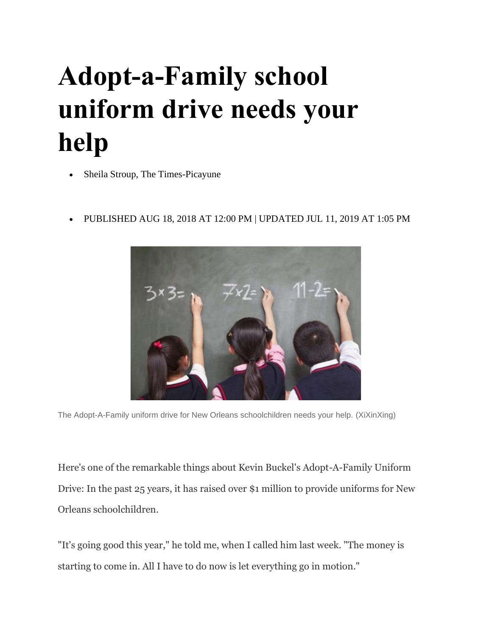## **Adopt-a-Family school uniform drive needs your help**

- Sheila Stroup, The Times-Picayune
- PUBLISHED AUG 18, 2018 AT 12:00 PM | UPDATED JUL 11, 2019 AT 1:05 PM



The Adopt-A-Family uniform drive for New Orleans schoolchildren needs your help. (XiXinXing)

Here's one of the remarkable things about Kevin Buckel's Adopt-A-Family Uniform Drive: In the past 25 years, it has raised over \$1 million to provide uniforms for New Orleans schoolchildren.

"It's going good this year," he told me, when I called him last week. "The money is starting to come in. All I have to do now is let everything go in motion."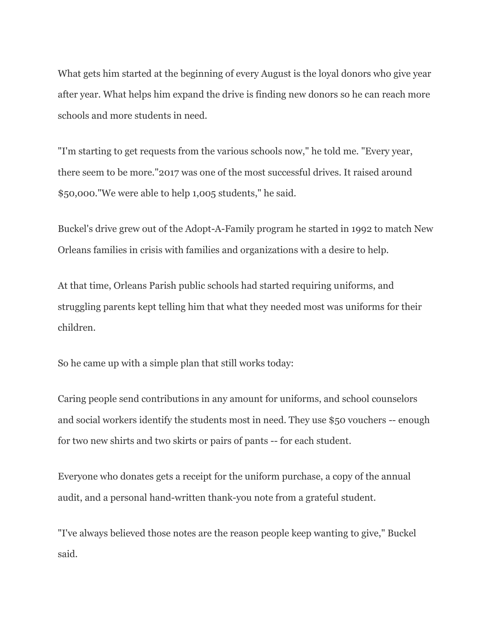What gets him started at the beginning of every August is the loyal donors who give year after year. What helps him expand the drive is finding new donors so he can reach more schools and more students in need.

"I'm starting to get requests from the various schools now," he told me. "Every year, there seem to be more."2017 was one of the most successful drives. It raised around \$50,000."We were able to help 1,005 students," he said.

Buckel's drive grew out of the Adopt-A-Family program he started in 1992 to match New Orleans families in crisis with families and organizations with a desire to help.

At that time, Orleans Parish public schools had started requiring uniforms, and struggling parents kept telling him that what they needed most was uniforms for their children.

So he came up with a simple plan that still works today:

Caring people send contributions in any amount for uniforms, and school counselors and social workers identify the students most in need. They use \$50 vouchers -- enough for two new shirts and two skirts or pairs of pants -- for each student.

Everyone who donates gets a receipt for the uniform purchase, a copy of the annual audit, and a personal hand-written thank-you note from a grateful student.

"I've always believed those notes are the reason people keep wanting to give," Buckel said.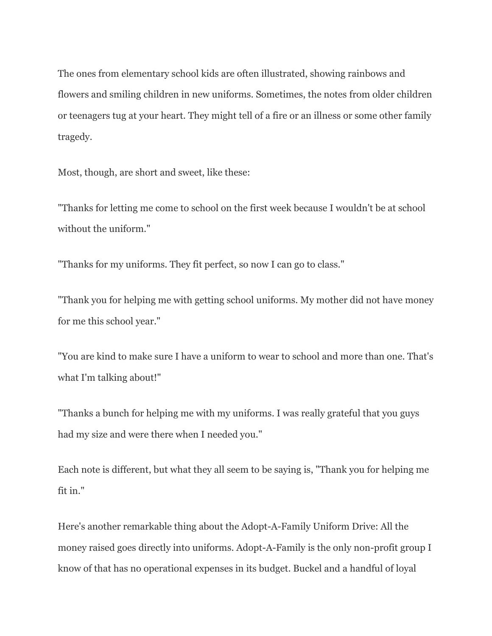The ones from elementary school kids are often illustrated, showing rainbows and flowers and smiling children in new uniforms. Sometimes, the notes from older children or teenagers tug at your heart. They might tell of a fire or an illness or some other family tragedy.

Most, though, are short and sweet, like these:

"Thanks for letting me come to school on the first week because I wouldn't be at school without the uniform."

"Thanks for my uniforms. They fit perfect, so now I can go to class."

"Thank you for helping me with getting school uniforms. My mother did not have money for me this school year."

"You are kind to make sure I have a uniform to wear to school and more than one. That's what I'm talking about!"

"Thanks a bunch for helping me with my uniforms. I was really grateful that you guys had my size and were there when I needed you."

Each note is different, but what they all seem to be saying is, "Thank you for helping me fit in."

Here's another remarkable thing about the Adopt-A-Family Uniform Drive: All the money raised goes directly into uniforms. Adopt-A-Family is the only non-profit group I know of that has no operational expenses in its budget. Buckel and a handful of loyal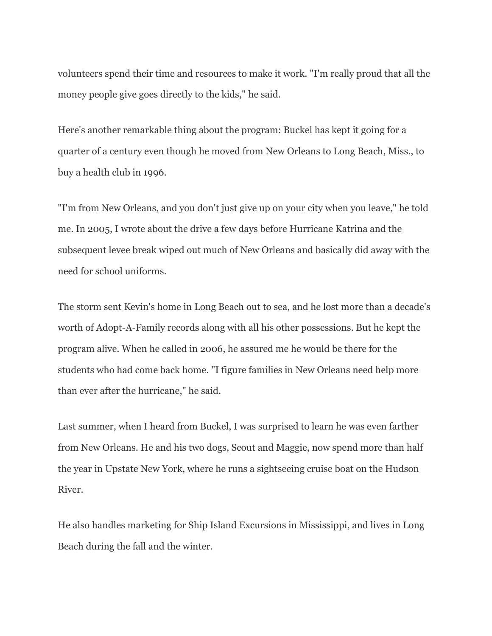volunteers spend their time and resources to make it work. "I'm really proud that all the money people give goes directly to the kids," he said.

Here's another remarkable thing about the program: Buckel has kept it going for a quarter of a century even though he moved from New Orleans to Long Beach, Miss., to buy a health club in 1996.

"I'm from New Orleans, and you don't just give up on your city when you leave," he told me. In 2005, I wrote about the drive a few days before Hurricane Katrina and the subsequent levee break wiped out much of New Orleans and basically did away with the need for school uniforms.

The storm sent Kevin's home in Long Beach out to sea, and he lost more than a decade's worth of Adopt-A-Family records along with all his other possessions. But he kept the program alive. When he called in 2006, he assured me he would be there for the students who had come back home. "I figure families in New Orleans need help more than ever after the hurricane," he said.

Last summer, when I heard from Buckel, I was surprised to learn he was even farther from New Orleans. He and his two dogs, Scout and Maggie, now spend more than half the year in Upstate New York, where he runs a sightseeing cruise boat on the Hudson River.

He also handles marketing for Ship Island Excursions in Mississippi, and lives in Long Beach during the fall and the winter.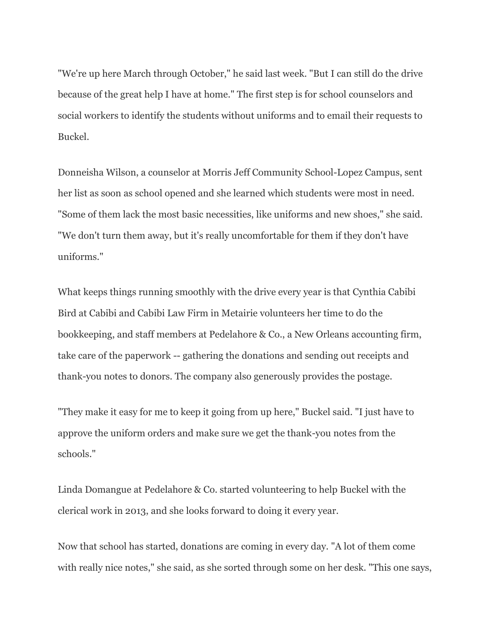"We're up here March through October," he said last week. "But I can still do the drive because of the great help I have at home." The first step is for school counselors and social workers to identify the students without uniforms and to email their requests to Buckel.

Donneisha Wilson, a counselor at Morris Jeff Community School-Lopez Campus, sent her list as soon as school opened and she learned which students were most in need. "Some of them lack the most basic necessities, like uniforms and new shoes," she said. "We don't turn them away, but it's really uncomfortable for them if they don't have uniforms."

What keeps things running smoothly with the drive every year is that Cynthia Cabibi Bird at Cabibi and Cabibi Law Firm in Metairie volunteers her time to do the bookkeeping, and staff members at Pedelahore & Co., a New Orleans accounting firm, take care of the paperwork -- gathering the donations and sending out receipts and thank-you notes to donors. The company also generously provides the postage.

"They make it easy for me to keep it going from up here," Buckel said. "I just have to approve the uniform orders and make sure we get the thank-you notes from the schools."

Linda Domangue at Pedelahore & Co. started volunteering to help Buckel with the clerical work in 2013, and she looks forward to doing it every year.

Now that school has started, donations are coming in every day. "A lot of them come with really nice notes," she said, as she sorted through some on her desk. "This one says,